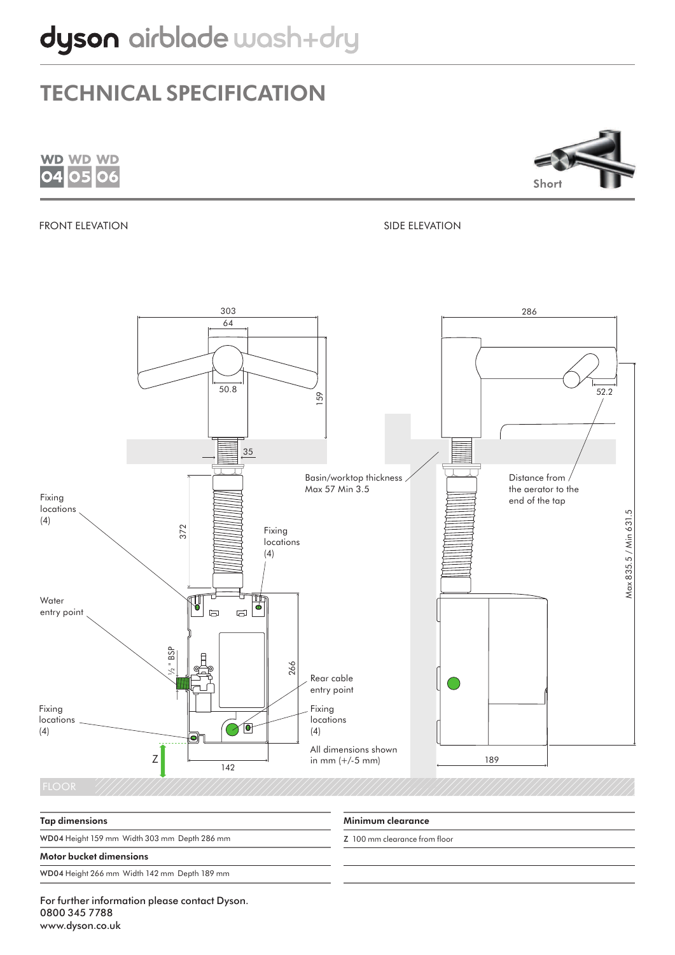



#### FRONT ELEVATION SIDE ELEVATION



### Minimum clearance Z 100 mm clearance from floor Tap dimensions WD04 Height 159 mm Width 303 mm Depth 286 mm Motor bucket dimensions WD04 Height 266 mm Width 142 mm Depth 189 mm

For further information please contact Dyson. 0800 345 7788 www.dyson.co.uk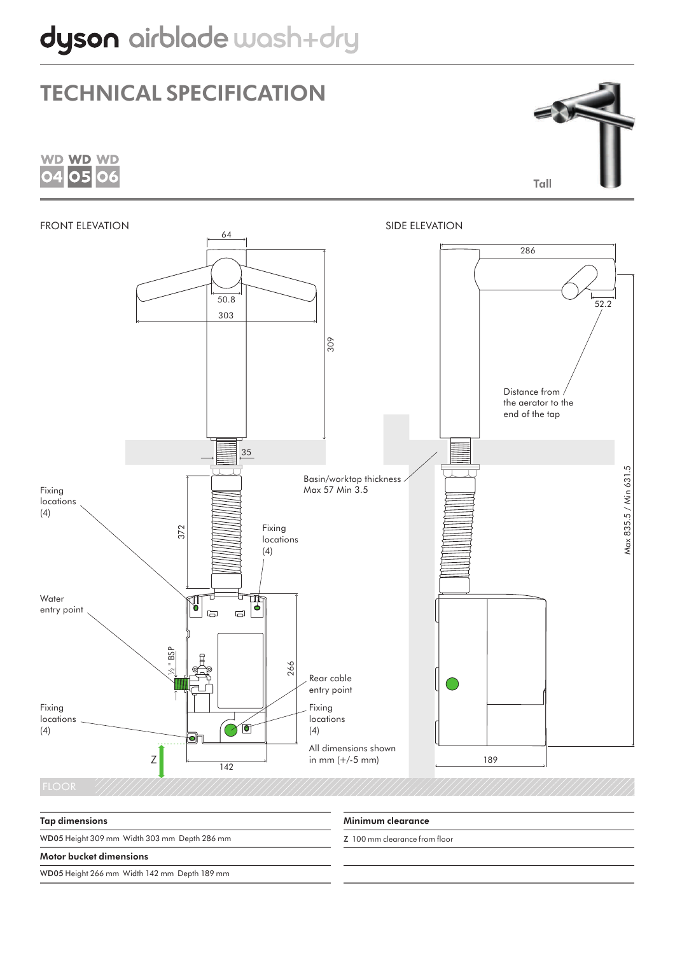





Minimum clearance Z 100 mm clearance from floor Tap dimensions WD05 Height 309 mm Width 303 mm Depth 286 mm Motor bucket dimensions WD05 Height 266 mm Width 142 mm Depth 189 mm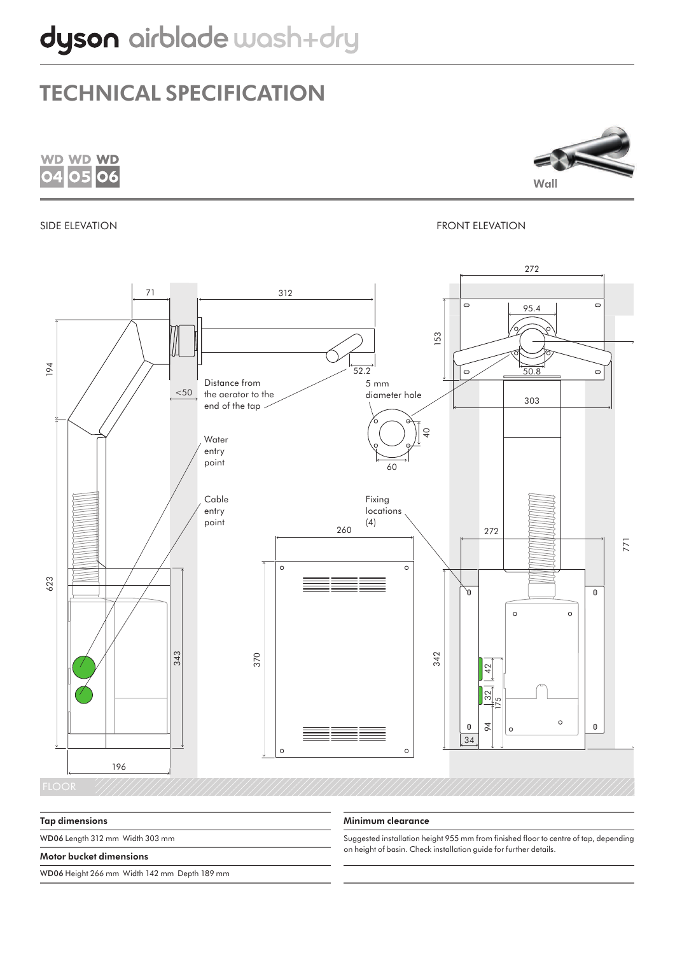

Tap dimensions

WD06 Length 312 mm Width 303 mm

#### Motor bucket dimensions

WD06 Height 266 mm Width 142 mm Depth 189 mm

#### Minimum clearance

Suggested installation height 955 mm from finished floor to centre of tap, depending on height of basin. Check installation guide for further details.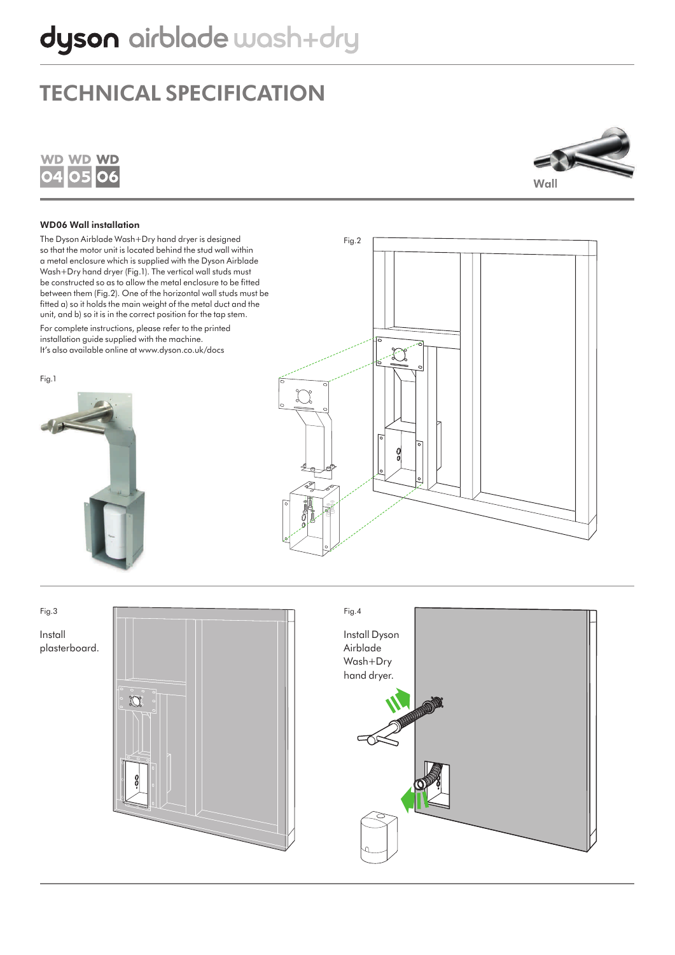



#### WD06 Wall installation

The Dyson Airblade Wash+Dry hand dryer is designed so that the motor unit is located behind the stud wall within a metal enclosure which is supplied with the Dyson Airblade Wash+Dry hand dryer (Fig.1). The vertical wall studs must be constructed so as to allow the metal enclosure to be fitted between them (Fig.2). One of the horizontal wall studs must be fitted a) so it holds the main weight of the metal duct and the unit, and b) so it is in the correct position for the tap stem.

For complete instructions, please refer to the printed installation guide supplied with the machine. It's also available online at www.dyson.co.uk/docs

Fig.1





Install plasterboard.



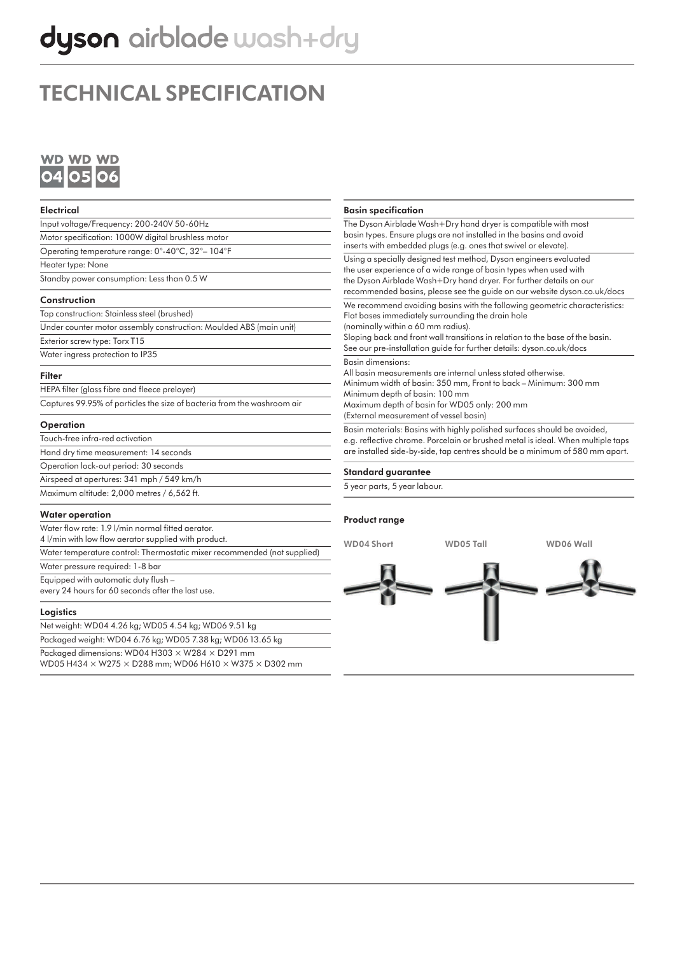# dyson airblade wash+dry

## TECHNICAL SPECIFICATION



| <b>Electrical</b>                                                                                                                     | <b>Basin specification</b>                                                                                                                                                                                                                                                                                                                                                                                                                                                                                                                                                                                                                                                                                                                                                                                                                                               |           |           |
|---------------------------------------------------------------------------------------------------------------------------------------|--------------------------------------------------------------------------------------------------------------------------------------------------------------------------------------------------------------------------------------------------------------------------------------------------------------------------------------------------------------------------------------------------------------------------------------------------------------------------------------------------------------------------------------------------------------------------------------------------------------------------------------------------------------------------------------------------------------------------------------------------------------------------------------------------------------------------------------------------------------------------|-----------|-----------|
| Input voltage/Frequency: 200-240V 50-60Hz                                                                                             | The Dyson Airblade Wash+Dry hand dryer is compatible with most<br>basin types. Ensure plugs are not installed in the basins and avoid<br>inserts with embedded plugs (e.g. ones that swivel or elevate).                                                                                                                                                                                                                                                                                                                                                                                                                                                                                                                                                                                                                                                                 |           |           |
| Motor specification: 1000W digital brushless motor                                                                                    |                                                                                                                                                                                                                                                                                                                                                                                                                                                                                                                                                                                                                                                                                                                                                                                                                                                                          |           |           |
| Operating temperature range: 0°-40°C, 32°-104°F                                                                                       |                                                                                                                                                                                                                                                                                                                                                                                                                                                                                                                                                                                                                                                                                                                                                                                                                                                                          |           |           |
| Heater type: None                                                                                                                     | Using a specially designed test method, Dyson engineers evaluated<br>the user experience of a wide range of basin types when used with<br>the Dyson Airblade Wash+Dry hand dryer. For further details on our<br>recommended basins, please see the guide on our website dyson.co.uk/docs                                                                                                                                                                                                                                                                                                                                                                                                                                                                                                                                                                                 |           |           |
| Standby power consumption: Less than 0.5 W                                                                                            |                                                                                                                                                                                                                                                                                                                                                                                                                                                                                                                                                                                                                                                                                                                                                                                                                                                                          |           |           |
| Construction                                                                                                                          |                                                                                                                                                                                                                                                                                                                                                                                                                                                                                                                                                                                                                                                                                                                                                                                                                                                                          |           |           |
| Tap construction: Stainless steel (brushed)                                                                                           | We recommend avoiding basins with the following geometric characteristics:<br>Flat bases immediately surrounding the drain hole<br>(nominally within a 60 mm radius).<br>Sloping back and front wall transitions in relation to the base of the basin.<br>See our pre-installation guide for further details: dyson.co.uk/docs<br><b>Basin dimensions:</b><br>All basin measurements are internal unless stated otherwise.<br>Minimum width of basin: 350 mm, Front to back - Minimum: 300 mm<br>Minimum depth of basin: 100 mm<br>Maximum depth of basin for WD05 only: 200 mm<br>(External measurement of vessel basin)<br>Basin materials: Basins with highly polished surfaces should be avoided,<br>e.g. reflective chrome. Porcelain or brushed metal is ideal. When multiple taps<br>are installed side-by-side, tap centres should be a minimum of 580 mm apart. |           |           |
| Under counter motor assembly construction: Moulded ABS (main unit)                                                                    |                                                                                                                                                                                                                                                                                                                                                                                                                                                                                                                                                                                                                                                                                                                                                                                                                                                                          |           |           |
| Exterior screw type: Torx T15                                                                                                         |                                                                                                                                                                                                                                                                                                                                                                                                                                                                                                                                                                                                                                                                                                                                                                                                                                                                          |           |           |
| Water ingress protection to IP35                                                                                                      |                                                                                                                                                                                                                                                                                                                                                                                                                                                                                                                                                                                                                                                                                                                                                                                                                                                                          |           |           |
| <b>Filter</b>                                                                                                                         |                                                                                                                                                                                                                                                                                                                                                                                                                                                                                                                                                                                                                                                                                                                                                                                                                                                                          |           |           |
| HEPA filter (glass fibre and fleece prelayer)                                                                                         |                                                                                                                                                                                                                                                                                                                                                                                                                                                                                                                                                                                                                                                                                                                                                                                                                                                                          |           |           |
| Captures 99.95% of particles the size of bacteria from the washroom air                                                               |                                                                                                                                                                                                                                                                                                                                                                                                                                                                                                                                                                                                                                                                                                                                                                                                                                                                          |           |           |
| Operation                                                                                                                             |                                                                                                                                                                                                                                                                                                                                                                                                                                                                                                                                                                                                                                                                                                                                                                                                                                                                          |           |           |
| Touch-free infra-red activation                                                                                                       |                                                                                                                                                                                                                                                                                                                                                                                                                                                                                                                                                                                                                                                                                                                                                                                                                                                                          |           |           |
| Hand dry time measurement: 14 seconds                                                                                                 |                                                                                                                                                                                                                                                                                                                                                                                                                                                                                                                                                                                                                                                                                                                                                                                                                                                                          |           |           |
| Operation lock-out period: 30 seconds                                                                                                 | <b>Standard guarantee</b>                                                                                                                                                                                                                                                                                                                                                                                                                                                                                                                                                                                                                                                                                                                                                                                                                                                |           |           |
| Airspeed at apertures: 341 mph / 549 km/h                                                                                             | 5 year parts, 5 year labour.                                                                                                                                                                                                                                                                                                                                                                                                                                                                                                                                                                                                                                                                                                                                                                                                                                             |           |           |
| Maximum altitude: 2,000 metres / 6,562 ft.                                                                                            |                                                                                                                                                                                                                                                                                                                                                                                                                                                                                                                                                                                                                                                                                                                                                                                                                                                                          |           |           |
| <b>Water operation</b>                                                                                                                | <b>Product range</b>                                                                                                                                                                                                                                                                                                                                                                                                                                                                                                                                                                                                                                                                                                                                                                                                                                                     |           |           |
| Water flow rate: 1.9 l/min normal fitted aerator.<br>4 l/min with low flow aerator supplied with product.                             | <b>WD04 Short</b>                                                                                                                                                                                                                                                                                                                                                                                                                                                                                                                                                                                                                                                                                                                                                                                                                                                        | WD05 Tall | WD06 Wall |
| Water temperature control: Thermostatic mixer recommended (not supplied)                                                              |                                                                                                                                                                                                                                                                                                                                                                                                                                                                                                                                                                                                                                                                                                                                                                                                                                                                          |           |           |
| Water pressure required: 1-8 bar                                                                                                      |                                                                                                                                                                                                                                                                                                                                                                                                                                                                                                                                                                                                                                                                                                                                                                                                                                                                          |           |           |
| Equipped with automatic duty flush -<br>every 24 hours for 60 seconds after the last use.                                             |                                                                                                                                                                                                                                                                                                                                                                                                                                                                                                                                                                                                                                                                                                                                                                                                                                                                          |           |           |
| Logistics                                                                                                                             |                                                                                                                                                                                                                                                                                                                                                                                                                                                                                                                                                                                                                                                                                                                                                                                                                                                                          |           |           |
| Net weight: WD04 4.26 kg; WD05 4.54 kg; WD06 9.51 kg                                                                                  |                                                                                                                                                                                                                                                                                                                                                                                                                                                                                                                                                                                                                                                                                                                                                                                                                                                                          |           |           |
| Packaged weight: WD04 6.76 kg; WD05 7.38 kg; WD06 13.65 kg                                                                            |                                                                                                                                                                                                                                                                                                                                                                                                                                                                                                                                                                                                                                                                                                                                                                                                                                                                          |           |           |
| Packaged dimensions: WD04 H303 × W284 × D291 mm<br>WD05 H434 $\times$ W275 $\times$ D288 mm; WD06 H610 $\times$ W375 $\times$ D302 mm |                                                                                                                                                                                                                                                                                                                                                                                                                                                                                                                                                                                                                                                                                                                                                                                                                                                                          |           |           |